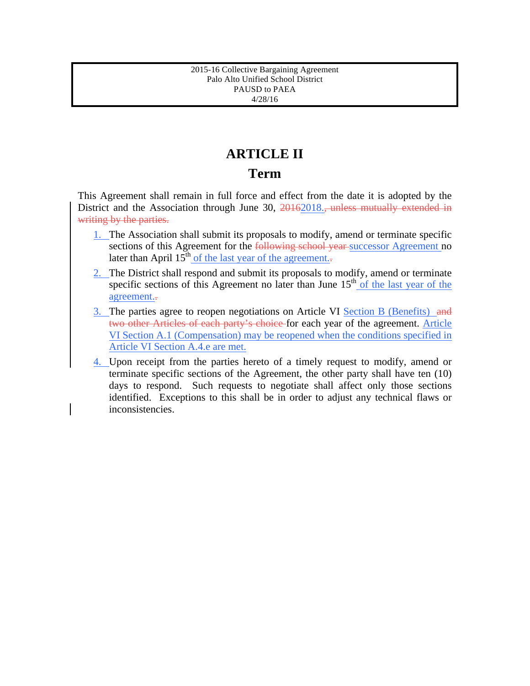## **ARTICLE II**

### **Term**

This Agreement shall remain in full force and effect from the date it is adopted by the District and the Association through June 30, 20162018.*,* unless mutually extended in writing by the parties.

- 1. The Association shall submit its proposals to modify, amend or terminate specific sections of this Agreement for the following school year successor Agreement no later than April  $15<sup>th</sup>$  of the last year of the agreement..
- 2. The District shall respond and submit its proposals to modify, amend or terminate specific sections of this Agreement no later than June  $15<sup>th</sup>$  of the last year of the agreement..
- 3. The parties agree to reopen negotiations on Article VI Section B (Benefits) and two other Articles of each party's choice for each year of the agreement. Article VI Section A.1 (Compensation) may be reopened when the conditions specified in Article VI Section A.4.e are met.
- 4. Upon receipt from the parties hereto of a timely request to modify, amend or terminate specific sections of the Agreement, the other party shall have ten (10) days to respond. Such requests to negotiate shall affect only those sections identified. Exceptions to this shall be in order to adjust any technical flaws or inconsistencies.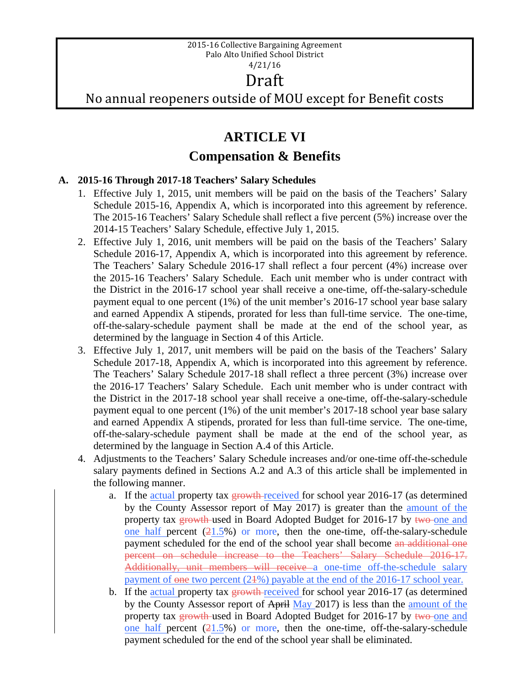## Draft

No annual reopeners outside of MOU except for Benefit costs

## **ARTICLE VI**

## **Compensation & Benefits**

#### **A. 2015-16 Through 2017-18 Teachers' Salary Schedules**

- 1. Effective July 1, 2015, unit members will be paid on the basis of the Teachers' Salary Schedule 2015-16, Appendix A, which is incorporated into this agreement by reference. The 2015-16 Teachers' Salary Schedule shall reflect a five percent (5%) increase over the 2014-15 Teachers' Salary Schedule, effective July 1, 2015.
- 2. Effective July 1, 2016, unit members will be paid on the basis of the Teachers' Salary Schedule 2016-17, Appendix A, which is incorporated into this agreement by reference. The Teachers' Salary Schedule 2016-17 shall reflect a four percent (4%) increase over the 2015-16 Teachers' Salary Schedule. Each unit member who is under contract with the District in the 2016-17 school year shall receive a one-time, off-the-salary-schedule payment equal to one percent (1%) of the unit member's 2016-17 school year base salary and earned Appendix A stipends, prorated for less than full-time service. The one-time, off-the-salary-schedule payment shall be made at the end of the school year, as determined by the language in Section 4 of this Article.
- 3. Effective July 1, 2017, unit members will be paid on the basis of the Teachers' Salary Schedule 2017-18, Appendix A, which is incorporated into this agreement by reference. The Teachers' Salary Schedule 2017-18 shall reflect a three percent (3%) increase over the 2016-17 Teachers' Salary Schedule. Each unit member who is under contract with the District in the 2017-18 school year shall receive a one-time, off-the-salary-schedule payment equal to one percent (1%) of the unit member's 2017-18 school year base salary and earned Appendix A stipends, prorated for less than full-time service. The one-time, off-the-salary-schedule payment shall be made at the end of the school year, as determined by the language in Section A.4 of this Article.
- 4. Adjustments to the Teachers' Salary Schedule increases and/or one-time off-the-schedule salary payments defined in Sections A.2 and A.3 of this article shall be implemented in the following manner.
	- a. If the actual property tax growth-received for school year 2016-17 (as determined by the County Assessor report of May 2017) is greater than the amount of the property tax growth used in Board Adopted Budget for 2016-17 by two one and one half percent  $(21.5\%)$  or more, then the one-time, off-the-salary-schedule payment scheduled for the end of the school year shall become an additional one percent on schedule increase to the Teachers' Salary Schedule 2016-17. Additionally, unit members will receive a one-time off-the-schedule salary payment of one two percent (24%) payable at the end of the 2016-17 school year.
	- b. If the actual property tax **growth**-received for school year 2016-17 (as determined by the County Assessor report of April May 2017) is less than the amount of the property tax growth used in Board Adopted Budget for 2016-17 by two one and one half percent  $(21.5\%)$  or more, then the one-time, off-the-salary-schedule payment scheduled for the end of the school year shall be eliminated.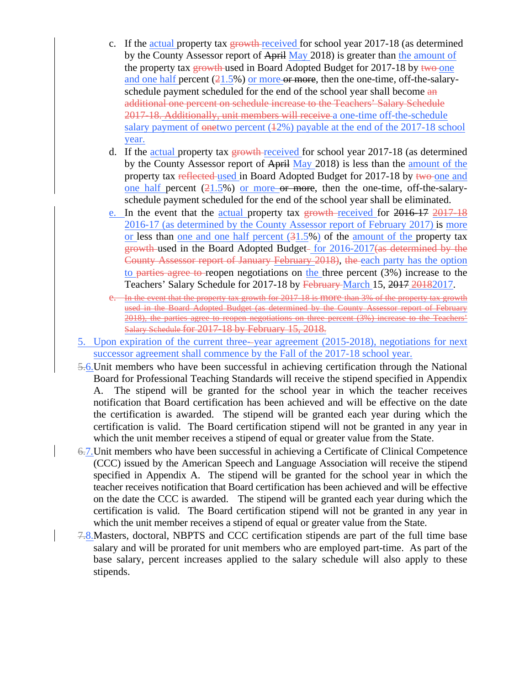- c. If the actual property tax  $\frac{1}{2}$  growth-received for school year 2017-18 (as determined by the County Assessor report of April May 2018) is greater than the amount of the property tax growth-used in Board Adopted Budget for 2017-18 by two one and one half percent  $(21.5\%)$  or more or more, then the one-time, off-the-salaryschedule payment scheduled for the end of the school year shall become an additional one percent on schedule increase to the Teachers' Salary Schedule 2017-18. Additionally, unit members will receive a one-time off-the-schedule salary payment of  $\theta$  onetwo percent (42%) payable at the end of the 2017-18 school year.
- d. If the actual property tax growth-received for school year 2017-18 (as determined by the County Assessor report of April May 2018) is less than the amount of the property tax reflected used in Board Adopted Budget for 2017-18 by two one and one half percent  $(21.5\%)$  or more or more, then the one-time, off-the-salaryschedule payment scheduled for the end of the school year shall be eliminated.
- e. In the event that the actual property tax growth received for 2016-17 2017-18 2016-17 (as determined by the County Assessor report of February 2017) is more or less than one and one half percent  $(31.5%)$  of the amount of the property tax growth used in the Board Adopted Budget- for 2016-2017(as determined by the County Assessor report of January February 2018), the each party has the option to parties agree to reopen negotiations on the three percent (3%) increase to the Teachers' Salary Schedule for 2017-18 by February-March 15, 2017 20182017.
- e. In the event that the property tax growth for 2017-18 is more than 3% of the property tax growth used in the Board Adopted Budget (as determined by the County Assessor report of February 2018), the parties agree to reopen negotiations on three percent (3%) increase to the Teachers' Salary Schedule for 2017-18 by February 15, 2018.
- 5. Upon expiration of the current three- year agreement (2015-2018), negotiations for next successor agreement shall commence by the Fall of the 2017-18 school year.
- 5.6.Unit members who have been successful in achieving certification through the National Board for Professional Teaching Standards will receive the stipend specified in Appendix A. The stipend will be granted for the school year in which the teacher receives notification that Board certification has been achieved and will be effective on the date the certification is awarded. The stipend will be granted each year during which the certification is valid. The Board certification stipend will not be granted in any year in which the unit member receives a stipend of equal or greater value from the State.
- 6.7.Unit members who have been successful in achieving a Certificate of Clinical Competence (CCC) issued by the American Speech and Language Association will receive the stipend specified in Appendix A. The stipend will be granted for the school year in which the teacher receives notification that Board certification has been achieved and will be effective on the date the CCC is awarded. The stipend will be granted each year during which the certification is valid. The Board certification stipend will not be granted in any year in which the unit member receives a stipend of equal or greater value from the State.
- 7.8.Masters, doctoral, NBPTS and CCC certification stipends are part of the full time base salary and will be prorated for unit members who are employed part-time. As part of the base salary, percent increases applied to the salary schedule will also apply to these stipends.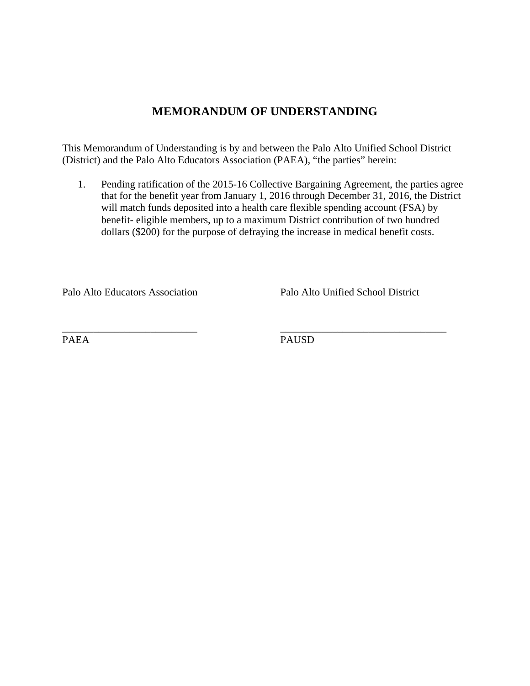### **MEMORANDUM OF UNDERSTANDING**

This Memorandum of Understanding is by and between the Palo Alto Unified School District (District) and the Palo Alto Educators Association (PAEA), "the parties" herein:

\_\_\_\_\_\_\_\_\_\_\_\_\_\_\_\_\_\_\_\_\_\_\_\_\_\_ \_\_\_\_\_\_\_\_\_\_\_\_\_\_\_\_\_\_\_\_\_\_\_\_\_\_\_\_\_\_\_\_

1. Pending ratification of the 2015-16 Collective Bargaining Agreement, the parties agree that for the benefit year from January 1, 2016 through December 31, 2016, the District will match funds deposited into a health care flexible spending account (FSA) by benefit- eligible members, up to a maximum District contribution of two hundred dollars (\$200) for the purpose of defraying the increase in medical benefit costs.

Palo Alto Educators Association Palo Alto Unified School District

PAEA PAUSD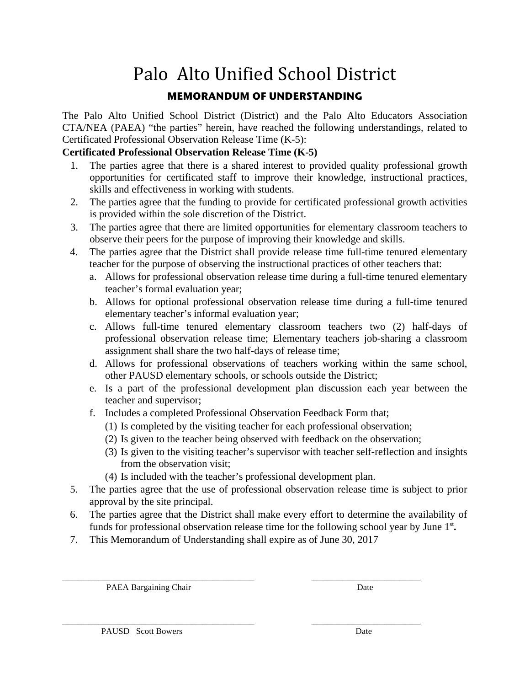# Palo Alto Unified School District

### **MEMORANDUM OF UNDERSTANDING**

The Palo Alto Unified School District (District) and the Palo Alto Educators Association CTA/NEA (PAEA) "the parties" herein, have reached the following understandings, related to Certificated Professional Observation Release Time (K-5):

### **Certificated Professional Observation Release Time (K-5)**

- 1. The parties agree that there is a shared interest to provided quality professional growth opportunities for certificated staff to improve their knowledge, instructional practices, skills and effectiveness in working with students.
- 2. The parties agree that the funding to provide for certificated professional growth activities is provided within the sole discretion of the District.
- 3. The parties agree that there are limited opportunities for elementary classroom teachers to observe their peers for the purpose of improving their knowledge and skills.
- 4. The parties agree that the District shall provide release time full-time tenured elementary teacher for the purpose of observing the instructional practices of other teachers that:
	- a. Allows for professional observation release time during a full-time tenured elementary teacher's formal evaluation year;
	- b. Allows for optional professional observation release time during a full-time tenured elementary teacher's informal evaluation year;
	- c. Allows full-time tenured elementary classroom teachers two (2) half-days of professional observation release time; Elementary teachers job-sharing a classroom assignment shall share the two half-days of release time;
	- d. Allows for professional observations of teachers working within the same school, other PAUSD elementary schools, or schools outside the District;
	- e. Is a part of the professional development plan discussion each year between the teacher and supervisor;
	- f. Includes a completed Professional Observation Feedback Form that;
		- (1) Is completed by the visiting teacher for each professional observation;
		- (2) Is given to the teacher being observed with feedback on the observation;
		- (3) Is given to the visiting teacher's supervisor with teacher self-reflection and insights from the observation visit;
		- (4) Is included with the teacher's professional development plan.
- 5. The parties agree that the use of professional observation release time is subject to prior approval by the site principal.
- 6. The parties agree that the District shall make every effort to determine the availability of funds for professional observation release time for the following school year by June 1<sup>st</sup>.
- 7. This Memorandum of Understanding shall expire as of June 30, 2017

PAEA Bargaining Chair Date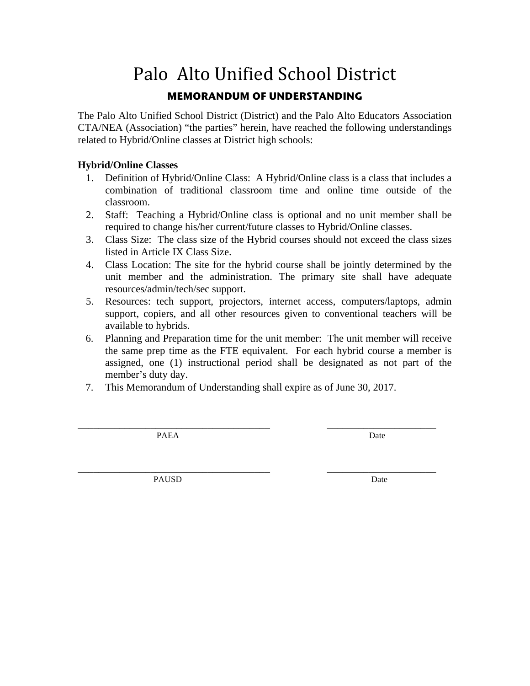# Palo Alto Unified School District **MEMORANDUM OF UNDERSTANDING**

The Palo Alto Unified School District (District) and the Palo Alto Educators Association CTA/NEA (Association) "the parties" herein, have reached the following understandings related to Hybrid/Online classes at District high schools:

#### **Hybrid/Online Classes**

- 1. Definition of Hybrid/Online Class: A Hybrid/Online class is a class that includes a combination of traditional classroom time and online time outside of the classroom.
- 2. Staff: Teaching a Hybrid/Online class is optional and no unit member shall be required to change his/her current/future classes to Hybrid/Online classes.
- 3. Class Size: The class size of the Hybrid courses should not exceed the class sizes listed in Article IX Class Size.
- 4. Class Location: The site for the hybrid course shall be jointly determined by the unit member and the administration. The primary site shall have adequate resources/admin/tech/sec support.
- 5. Resources: tech support, projectors, internet access, computers/laptops, admin support, copiers, and all other resources given to conventional teachers will be available to hybrids.
- 6. Planning and Preparation time for the unit member: The unit member will receive the same prep time as the FTE equivalent. For each hybrid course a member is assigned, one (1) instructional period shall be designated as not part of the member's duty day.
- 7. This Memorandum of Understanding shall expire as of June 30, 2017.

\_\_\_\_\_\_\_\_\_\_\_\_\_\_\_\_\_\_\_\_\_\_\_\_\_\_\_\_\_\_\_\_\_\_\_\_\_ \_\_\_\_\_\_\_\_\_\_\_\_\_\_\_\_\_\_\_\_\_ PAEA Date

PAUSD Date